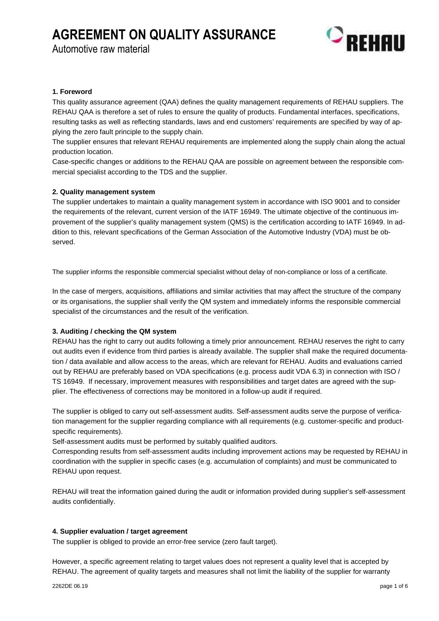Automotive raw material



## **1. Foreword**

This quality assurance agreement (QAA) defines the quality management requirements of REHAU suppliers. The REHAU QAA is therefore a set of rules to ensure the quality of products. Fundamental interfaces, specifications, resulting tasks as well as reflecting standards, laws and end customers' requirements are specified by way of applying the zero fault principle to the supply chain.

The supplier ensures that relevant REHAU requirements are implemented along the supply chain along the actual production location.

Case-specific changes or additions to the REHAU QAA are possible on agreement between the responsible commercial specialist according to the TDS and the supplier.

## **2. Quality management system**

The supplier undertakes to maintain a quality management system in accordance with ISO 9001 and to consider the requirements of the relevant, current version of the IATF 16949. The ultimate objective of the continuous improvement of the supplier's quality management system (QMS) is the certification according to IATF 16949. In addition to this, relevant specifications of the German Association of the Automotive Industry (VDA) must be observed.

The supplier informs the responsible commercial specialist without delay of non-compliance or loss of a certificate.

In the case of mergers, acquisitions, affiliations and similar activities that may affect the structure of the company or its organisations, the supplier shall verify the QM system and immediately informs the responsible commercial specialist of the circumstances and the result of the verification.

#### **3. Auditing / checking the QM system**

REHAU has the right to carry out audits following a timely prior announcement. REHAU reserves the right to carry out audits even if evidence from third parties is already available. The supplier shall make the required documentation / data available and allow access to the areas, which are relevant for REHAU. Audits and evaluations carried out by REHAU are preferably based on VDA specifications (e.g. process audit VDA 6.3) in connection with ISO / TS 16949. If necessary, improvement measures with responsibilities and target dates are agreed with the supplier. The effectiveness of corrections may be monitored in a follow-up audit if required.

The supplier is obliged to carry out self-assessment audits. Self-assessment audits serve the purpose of verification management for the supplier regarding compliance with all requirements (e.g. customer-specific and productspecific requirements).

Self-assessment audits must be performed by suitably qualified auditors.

Corresponding results from self-assessment audits including improvement actions may be requested by REHAU in coordination with the supplier in specific cases (e.g. accumulation of complaints) and must be communicated to REHAU upon request.

REHAU will treat the information gained during the audit or information provided during supplier's self-assessment audits confidentially.

#### **4. Supplier evaluation / target agreement**

The supplier is obliged to provide an error-free service (zero fault target).

However, a specific agreement relating to target values does not represent a quality level that is accepted by REHAU. The agreement of quality targets and measures shall not limit the liability of the supplier for warranty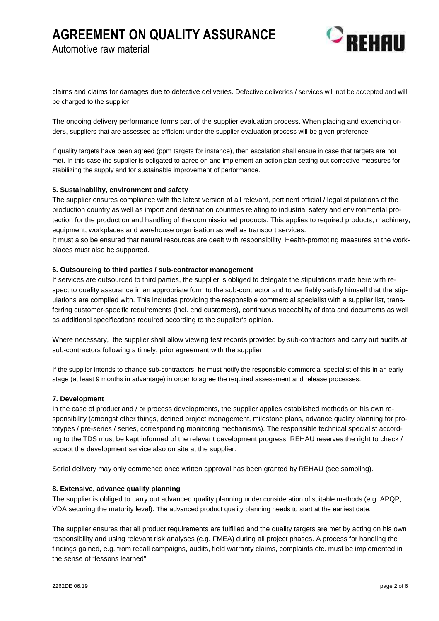Automotive raw material



claims and claims for damages due to defective deliveries. Defective deliveries / services will not be accepted and will be charged to the supplier.

The ongoing delivery performance forms part of the supplier evaluation process. When placing and extending orders, suppliers that are assessed as efficient under the supplier evaluation process will be given preference.

If quality targets have been agreed (ppm targets for instance), then escalation shall ensue in case that targets are not met. In this case the supplier is obligated to agree on and implement an action plan setting out corrective measures for stabilizing the supply and for sustainable improvement of performance.

#### **5. Sustainability, environment and safety**

The supplier ensures compliance with the latest version of all relevant, pertinent official / legal stipulations of the production country as well as import and destination countries relating to industrial safety and environmental protection for the production and handling of the commissioned products. This applies to required products, machinery, equipment, workplaces and warehouse organisation as well as transport services.

It must also be ensured that natural resources are dealt with responsibility. Health-promoting measures at the workplaces must also be supported.

#### **6. Outsourcing to third parties / sub-contractor management**

If services are outsourced to third parties, the supplier is obliged to delegate the stipulations made here with respect to quality assurance in an appropriate form to the sub-contractor and to verifiably satisfy himself that the stipulations are complied with. This includes providing the responsible commercial specialist with a supplier list, transferring customer-specific requirements (incl. end customers), continuous traceability of data and documents as well as additional specifications required according to the supplier's opinion.

Where necessary, the supplier shall allow viewing test records provided by sub-contractors and carry out audits at sub-contractors following a timely, prior agreement with the supplier.

If the supplier intends to change sub-contractors, he must notify the responsible commercial specialist of this in an early stage (at least 9 months in advantage) in order to agree the required assessment and release processes.

#### **7. Development**

In the case of product and / or process developments, the supplier applies established methods on his own responsibility (amongst other things, defined project management, milestone plans, advance quality planning for prototypes / pre-series / series, corresponding monitoring mechanisms). The responsible technical specialist according to the TDS must be kept informed of the relevant development progress. REHAU reserves the right to check / accept the development service also on site at the supplier.

Serial delivery may only commence once written approval has been granted by REHAU (see sampling).

#### **8. Extensive, advance quality planning**

The supplier is obliged to carry out advanced quality planning under consideration of suitable methods (e.g. APQP, VDA securing the maturity level). The advanced product quality planning needs to start at the earliest date.

The supplier ensures that all product requirements are fulfilled and the quality targets are met by acting on his own responsibility and using relevant risk analyses (e.g. FMEA) during all project phases. A process for handling the findings gained, e.g. from recall campaigns, audits, field warranty claims, complaints etc. must be implemented in the sense of "lessons learned".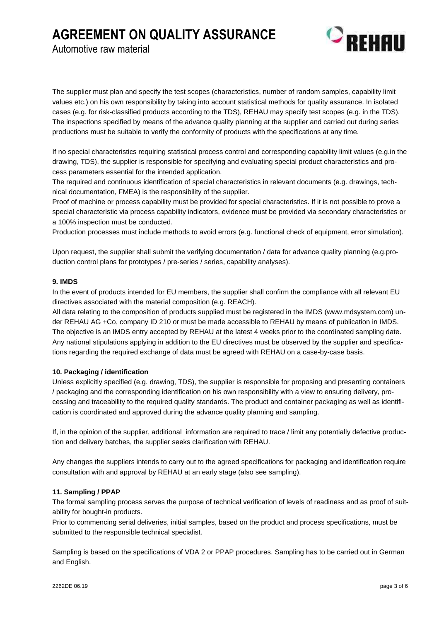

Automotive raw material

The supplier must plan and specify the test scopes (characteristics, number of random samples, capability limit values etc.) on his own responsibility by taking into account statistical methods for quality assurance. In isolated cases (e.g. for risk-classified products according to the TDS), REHAU may specify test scopes (e.g. in the TDS). The inspections specified by means of the advance quality planning at the supplier and carried out during series productions must be suitable to verify the conformity of products with the specifications at any time.

If no special characteristics requiring statistical process control and corresponding capability limit values (e.g.in the drawing, TDS), the supplier is responsible for specifying and evaluating special product characteristics and process parameters essential for the intended application.

The required and continuous identification of special characteristics in relevant documents (e.g. drawings, technical documentation, FMEA) is the responsibility of the supplier.

Proof of machine or process capability must be provided for special characteristics. If it is not possible to prove a special characteristic via process capability indicators, evidence must be provided via secondary characteristics or a 100% inspection must be conducted.

Production processes must include methods to avoid errors (e.g. functional check of equipment, error simulation).

Upon request, the supplier shall submit the verifying documentation / data for advance quality planning (e.g.production control plans for prototypes / pre-series / series, capability analyses).

## **9. IMDS**

In the event of products intended for EU members, the supplier shall confirm the compliance with all relevant EU directives associated with the material composition (e.g. REACH).

All data relating to the composition of products supplied must be registered in the IMDS (www.mdsystem.com) under REHAU AG +Co, company ID 210 or must be made accessible to REHAU by means of publication in IMDS. The objective is an IMDS entry accepted by REHAU at the latest 4 weeks prior to the coordinated sampling date. Any national stipulations applying in addition to the EU directives must be observed by the supplier and specifications regarding the required exchange of data must be agreed with REHAU on a case-by-case basis.

## **10. Packaging / identification**

Unless explicitly specified (e.g. drawing, TDS), the supplier is responsible for proposing and presenting containers / packaging and the corresponding identification on his own responsibility with a view to ensuring delivery, processing and traceability to the required quality standards. The product and container packaging as well as identification is coordinated and approved during the advance quality planning and sampling.

If, in the opinion of the supplier, additional information are required to trace / limit any potentially defective production and delivery batches, the supplier seeks clarification with REHAU.

Any changes the suppliers intends to carry out to the agreed specifications for packaging and identification require consultation with and approval by REHAU at an early stage (also see sampling).

#### **11. Sampling / PPAP**

The formal sampling process serves the purpose of technical verification of levels of readiness and as proof of suitability for bought-in products.

Prior to commencing serial deliveries, initial samples, based on the product and process specifications, must be submitted to the responsible technical specialist.

Sampling is based on the specifications of VDA 2 or PPAP procedures. Sampling has to be carried out in German and English.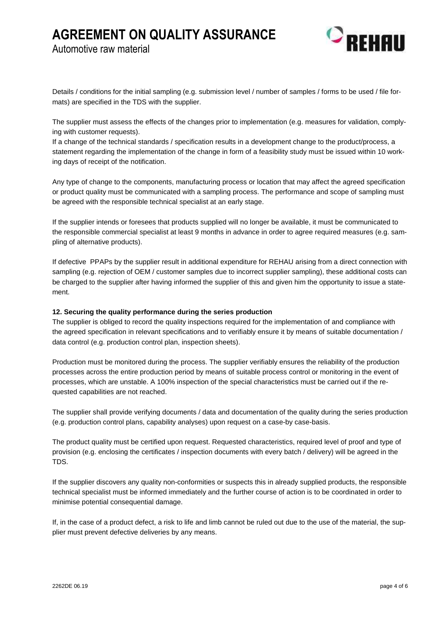Automotive raw material



Details / conditions for the initial sampling (e.g. submission level / number of samples / forms to be used / file formats) are specified in the TDS with the supplier.

The supplier must assess the effects of the changes prior to implementation (e.g. measures for validation, complying with customer requests).

If a change of the technical standards / specification results in a development change to the product/process, a statement regarding the implementation of the change in form of a feasibility study must be issued within 10 working days of receipt of the notification.

Any type of change to the components, manufacturing process or location that may affect the agreed specification or product quality must be communicated with a sampling process. The performance and scope of sampling must be agreed with the responsible technical specialist at an early stage.

If the supplier intends or foresees that products supplied will no longer be available, it must be communicated to the responsible commercial specialist at least 9 months in advance in order to agree required measures (e.g. sampling of alternative products).

If defective PPAPs by the supplier result in additional expenditure for REHAU arising from a direct connection with sampling (e.g. rejection of OEM / customer samples due to incorrect supplier sampling), these additional costs can be charged to the supplier after having informed the supplier of this and given him the opportunity to issue a statement.

#### **12. Securing the quality performance during the series production**

The supplier is obliged to record the quality inspections required for the implementation of and compliance with the agreed specification in relevant specifications and to verifiably ensure it by means of suitable documentation / data control (e.g. production control plan, inspection sheets).

Production must be monitored during the process. The supplier verifiably ensures the reliability of the production processes across the entire production period by means of suitable process control or monitoring in the event of processes, which are unstable. A 100% inspection of the special characteristics must be carried out if the requested capabilities are not reached.

The supplier shall provide verifying documents / data and documentation of the quality during the series production (e.g. production control plans, capability analyses) upon request on a case-by case-basis.

The product quality must be certified upon request. Requested characteristics, required level of proof and type of provision (e.g. enclosing the certificates / inspection documents with every batch / delivery) will be agreed in the TDS.

If the supplier discovers any quality non-conformities or suspects this in already supplied products, the responsible technical specialist must be informed immediately and the further course of action is to be coordinated in order to minimise potential consequential damage.

If, in the case of a product defect, a risk to life and limb cannot be ruled out due to the use of the material, the supplier must prevent defective deliveries by any means.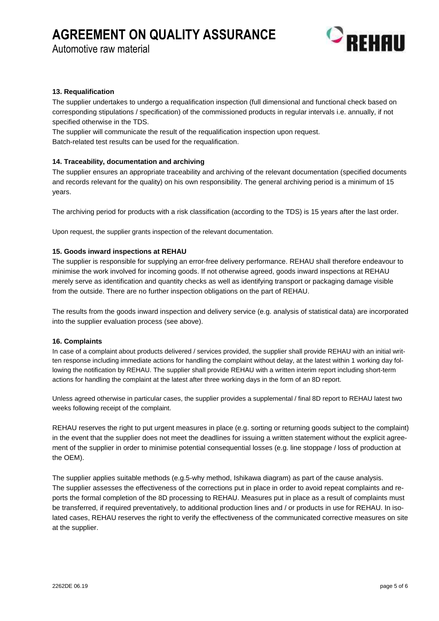Automotive raw material



## **13. Requalification**

The supplier undertakes to undergo a requalification inspection (full dimensional and functional check based on corresponding stipulations / specification) of the commissioned products in regular intervals i.e. annually, if not specified otherwise in the TDS.

The supplier will communicate the result of the requalification inspection upon request.

Batch-related test results can be used for the requalification.

## **14. Traceability, documentation and archiving**

The supplier ensures an appropriate traceability and archiving of the relevant documentation (specified documents and records relevant for the quality) on his own responsibility. The general archiving period is a minimum of 15 years.

The archiving period for products with a risk classification (according to the TDS) is 15 years after the last order.

Upon request, the supplier grants inspection of the relevant documentation.

## **15. Goods inward inspections at REHAU**

The supplier is responsible for supplying an error-free delivery performance. REHAU shall therefore endeavour to minimise the work involved for incoming goods. If not otherwise agreed, goods inward inspections at REHAU merely serve as identification and quantity checks as well as identifying transport or packaging damage visible from the outside. There are no further inspection obligations on the part of REHAU.

The results from the goods inward inspection and delivery service (e.g. analysis of statistical data) are incorporated into the supplier evaluation process (see above).

#### **16. Complaints**

In case of a complaint about products delivered / services provided, the supplier shall provide REHAU with an initial written response including immediate actions for handling the complaint without delay, at the latest within 1 working day following the notification by REHAU. The supplier shall provide REHAU with a written interim report including short-term actions for handling the complaint at the latest after three working days in the form of an 8D report.

Unless agreed otherwise in particular cases, the supplier provides a supplemental / final 8D report to REHAU latest two weeks following receipt of the complaint.

REHAU reserves the right to put urgent measures in place (e.g. sorting or returning goods subject to the complaint) in the event that the supplier does not meet the deadlines for issuing a written statement without the explicit agreement of the supplier in order to minimise potential consequential losses (e.g. line stoppage / loss of production at the OEM).

The supplier applies suitable methods (e.g.5-why method, Ishikawa diagram) as part of the cause analysis. The supplier assesses the effectiveness of the corrections put in place in order to avoid repeat complaints and reports the formal completion of the 8D processing to REHAU. Measures put in place as a result of complaints must be transferred, if required preventatively, to additional production lines and / or products in use for REHAU. In isolated cases, REHAU reserves the right to verify the effectiveness of the communicated corrective measures on site at the supplier.